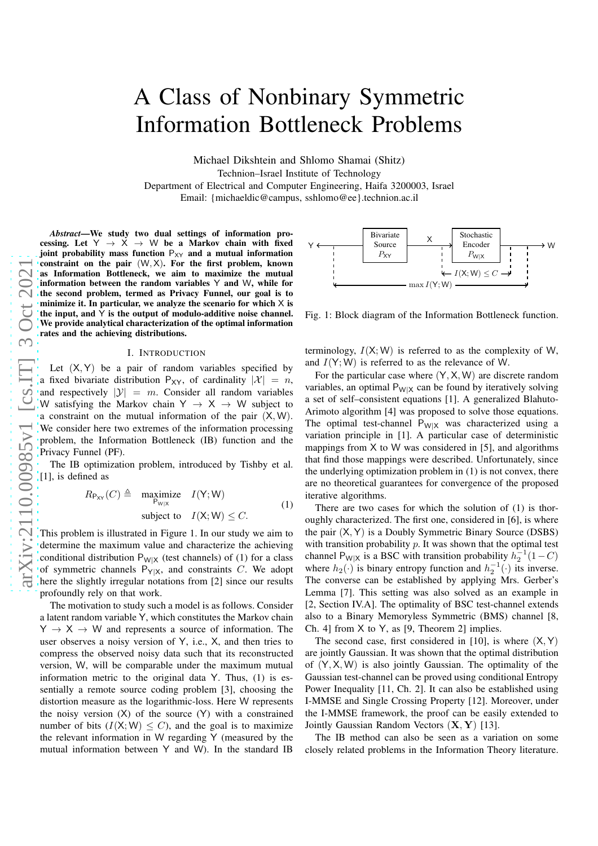# A Class of Nonbinary Symmetric Information Bottleneck Problems

Michael Dikshtein and Shlomo Shamai (Shitz) Technion–Israel Institute of Technology Department of Electrical and Computer Engineering, Haifa 3200003, Israel Email: {michaeldic@campus, sshlomo@ee}.technion.ac.il

*Abstract*—We study two dual settings of information processing. Let  $Y \rightarrow X \rightarrow W$  be a Markov chain with fixed joint probability mass function  $P_{XY}$  and a mutual information constraint on the pair  $(W, X)$ . For the first problem, known as Information Bottleneck, we aim to maximize the mutual information between the random variables Y and W, while for the second problem, termed as Privacy Funnel, our goal is to minimize it. In particular, we analyze the scenario for whic h X is the input, and  $\hat{Y}$  is the output of modulo-additive noise channel. We provide analytical characterization of the optimal information rates and the achieving distributions.

#### I. INTRODUCTION

Let  $(X, Y)$  be a pair of random variables specified by a fixed bivariate distribution  $P_{XY}$ , of cardinality  $|X| = n$ , and respectively  $|\mathcal{Y}| = m$ . Consider all random variables W satisfying the Markov chain  $Y \rightarrow X \rightarrow W$  subject to a constraint on the mutual information of the pair  $(X, W)$ . We consider here two extremes of the information processing problem, the Information Bottleneck (IB) function and the Privacy Funnel (PF).

The IB optimization problem, introduced by Tishby et al. [1], is defined as

$$
R_{P_{XY}}(C) \triangleq \underset{P_{W|X}}{\text{maximize}} \quad I(Y;W)
$$
  
subject to  $I(X;W) \leq C.$  (1)

This problem is illustrated in Figure 1. In our study we aim to determine the maximum value and characterize the achieving conditional distribution  $P_{W|X}$  (test channels) of (1) for a class of symmetric channels  $P_{Y|X}$ , and constraints C. We adopt here the slightly irregular notations from [2] since our results profoundly rely on that work.

The motivation to study such a model is as follows. Consider a latent random variable Y, which constitutes the Markov chain  $Y \rightarrow X \rightarrow W$  and represents a source of information. The user observes a noisy version of Y, i.e., X, and then tries to compress the observed noisy data such that its reconstructe d version, W, will be comparable under the maximum mutual information metric to the original data Y. Thus, (1) is essentially a remote source coding problem [3], choosing the distortion measure as the logarithmic-loss. Here W represents the noisy version ( X) of the source ( Y) with a constrained number of bits  $(I(X; W) \leq C)$ , and the goal is to maximize the relevant information in W regarding Y (measured by the mutual information between Y and W). In the standard IB



Fig. 1: Block diagram of the Information Bottleneck function.

terminology,  $I(X; W)$  is referred to as the complexity of W, and  $I(Y;W)$  is referred to as the relevance of W.

For the particular case where  $(Y, X, W)$  are discrete random variables, an optimal  $P_{W|X}$  can be found by iteratively solving a set of self–consistent equations [1]. A generalized Blahuto-Arimoto algorithm [4] was proposed to solve those equations. The optimal test-channel  $P_{W|X}$  was characterized using a variation principle in [1]. A particular case of deterministic mappings from X to W was considered in [5], and algorithms that find those mappings were described. Unfortunately, since the underlying optimization problem in (1) is not convex, there are no theoretical guarantees for convergence of the proposed iterative algorithms.

There are two cases for which the solution of (1) is thoroughly characterized. The first one, considered in [6], is where the pair ( X , Y ) is a Doubly Symmetric Binary Source (DSBS) with transition probability  $p$ . It was shown that the optimal test channel P<sub>W|X</sub> is a BSC with transition probability  $h_2^{-1}(1-C)$ where  $h_2(\cdot)$  is binary entropy function and  $h_2^{-1}(\cdot)$  its inverse. The converse can be established by applying Mrs. Gerber's Lemma [7]. This setting was also solved as an example in [2, Section IV.A]. The optimality of BSC test-channel extends also to a Binary Memoryless Symmetric (BMS) channel [8, Ch. 4] from X to Y, as [9, Theorem 2] implies.

The second case, first considered in [10], is where  $(X, Y)$ are jointly Gaussian. It was shown that the optimal distribution of  $(Y, X, W)$  is also jointly Gaussian. The optimality of the Gaussian test-channel can be proved using conditional Entropy Power Inequality [11, Ch. 2]. It can also be established usin g I-MMSE and Single Crossing Property [12]. Moreover, under the I-MMSE framework, the proof can be easily extended to Jointly Gaussian Random Vectors (X, Y) [13].

The IB method can also be seen as a variation on some closely related problems in the Information Theory literature.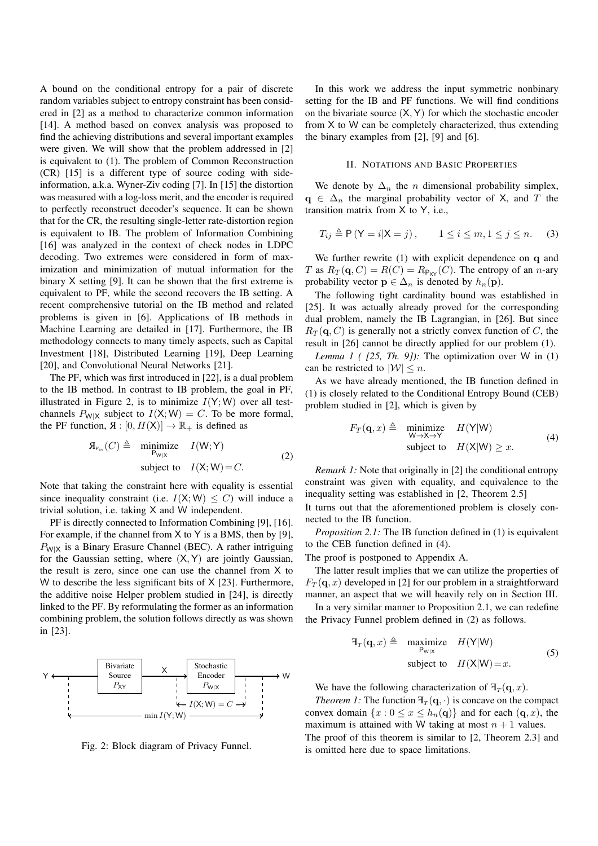A bound on the conditional entropy for a pair of discrete random variables subject to entropy constraint has been considered in [2] as a method to characterize common information [14]. A method based on convex analysis was proposed to find the achieving distributions and several important examples were given. We will show that the problem addressed in [2] is equivalent to (1). The problem of Common Reconstruction (CR) [15] is a different type of source coding with sideinformation, a.k.a. Wyner-Ziv coding [7]. In [15] the distortion was measured with a log-loss merit, and the encoder is required to perfectly reconstruct decoder's sequence. It can be shown that for the CR, the resulting single-letter rate-distortion region is equivalent to IB. The problem of Information Combining [16] was analyzed in the context of check nodes in LDPC decoding. Two extremes were considered in form of maximization and minimization of mutual information for the binary X setting [9]. It can be shown that the first extreme is equivalent to PF, while the second recovers the IB setting. A recent comprehensive tutorial on the IB method and related problems is given in [6]. Applications of IB methods in Machine Learning are detailed in [17]. Furthermore, the IB methodology connects to many timely aspects, such as Capital Investment [18], Distributed Learning [19], Deep Learning [20], and Convolutional Neural Networks [21].

The PF, which was first introduced in [22], is a dual problem to the IB method. In contrast to IB problem, the goal in PF, illustrated in Figure 2, is to minimize  $I(Y;W)$  over all testchannels  $P_{W|X}$  subject to  $I(X;W) = C$ . To be more formal, the PF function,  $\mathfrak{A}: [0, H(\mathsf{X})] \to \mathbb{R}_+$  is defined as

$$
\mathfrak{A}_{P_{\text{X}Y}}(C) \triangleq \underset{P_{\text{W}|X}}{\text{minimize}} \quad I(\text{W}; \text{Y})
$$
\n
$$
\text{subject to} \quad I(\text{X}; \text{W}) = C. \tag{2}
$$

Note that taking the constraint here with equality is essential since inequality constraint (i.e.  $I(X;W) \leq C$ ) will induce a trivial solution, i.e. taking X and W independent.

PF is directly connected to Information Combining [9], [16]. For example, if the channel from  $X$  to  $Y$  is a BMS, then by [9],  $P_{W|X}$  is a Binary Erasure Channel (BEC). A rather intriguing for the Gaussian setting, where  $(X, Y)$  are jointly Gaussian, the result is zero, since one can use the channel from X to W to describe the less significant bits of X [23]. Furthermore, the additive noise Helper problem studied in [24], is directly linked to the PF. By reformulating the former as an information combining problem, the solution follows directly as was shown in [23].





In this work we address the input symmetric nonbinary setting for the IB and PF functions. We will find conditions on the bivariate source  $(X, Y)$  for which the stochastic encoder from X to W can be completely characterized, thus extending the binary examples from [2], [9] and [6].

### II. NOTATIONS AND BASIC PROPERTIES

We denote by  $\Delta_n$  the *n* dimensional probability simplex,  $q \in \Delta_n$  the marginal probability vector of X, and T the transition matrix from X to Y, i.e.,

$$
T_{ij} \triangleq \mathsf{P}\left(\mathsf{Y}=i|\mathsf{X}=j\right), \qquad 1 \le i \le m, 1 \le j \le n. \tag{3}
$$

We further rewrite (1) with explicit dependence on q and T as  $R_T(\mathbf{q}, C) = R(C) = R_{P_{XY}}(C)$ . The entropy of an *n*-ary probability vector  $\mathbf{p} \in \Delta_n$  is denoted by  $h_n(\mathbf{p})$ .

The following tight cardinality bound was established in [25]. It was actually already proved for the corresponding dual problem, namely the IB Lagrangian, in [26]. But since  $R_T(\mathbf{q}, C)$  is generally not a strictly convex function of C, the result in [26] cannot be directly applied for our problem (1).

*Lemma 1 ( [25, Th. 9]):* The optimization over W in  $(1)$ can be restricted to  $|\mathcal{W}| \leq n$ .

As we have already mentioned, the IB function defined in (1) is closely related to the Conditional Entropy Bound (CEB) problem studied in [2], which is given by

$$
F_T(\mathbf{q}, x) \triangleq \begin{array}{ll}\text{minimize} & H(Y|W) \\ \text{w \to x \to Y} & H(X|W) \\ \text{subject to} & H(X|W) \ge x. \end{array} \tag{4}
$$

*Remark 1:* Note that originally in [2] the conditional entropy constraint was given with equality, and equivalence to the inequality setting was established in [2, Theorem 2.5]

It turns out that the aforementioned problem is closely connected to the IB function.

*Proposition 2.1:* The IB function defined in (1) is equivalent to the CEB function defined in (4).

The proof is postponed to Appendix A.

The latter result implies that we can utilize the properties of  $F_T(\mathbf{q},x)$  developed in [2] for our problem in a straightforward manner, an aspect that we will heavily rely on in Section III.

In a very similar manner to Proposition 2.1, we can redefine the Privacy Funnel problem defined in (2) as follows.

$$
\begin{array}{rcl}\n\mathbf{H}_T(\mathbf{q}, x) \triangleq & \underset{\mathbf{P}_{\mathbf{W}|\mathbf{X}}}{\text{maximize}} & H(\mathbf{Y}|\mathbf{W}) \\
\text{subject to} & H(\mathbf{X}|\mathbf{W}) = x.\n\end{array} \tag{5}
$$

We have the following characterization of  $\mathcal{F}_T(\mathbf{q}, x)$ .

*Theorem 1:* The function  $\mathcal{F}_T(\mathbf{q}, \cdot)$  is concave on the compact convex domain  $\{x: 0 \le x \le h_n(q)\}\$  and for each  $(q, x)$ , the maximum is attained with W taking at most  $n + 1$  values.

The proof of this theorem is similar to [2, Theorem 2.3] and is omitted here due to space limitations.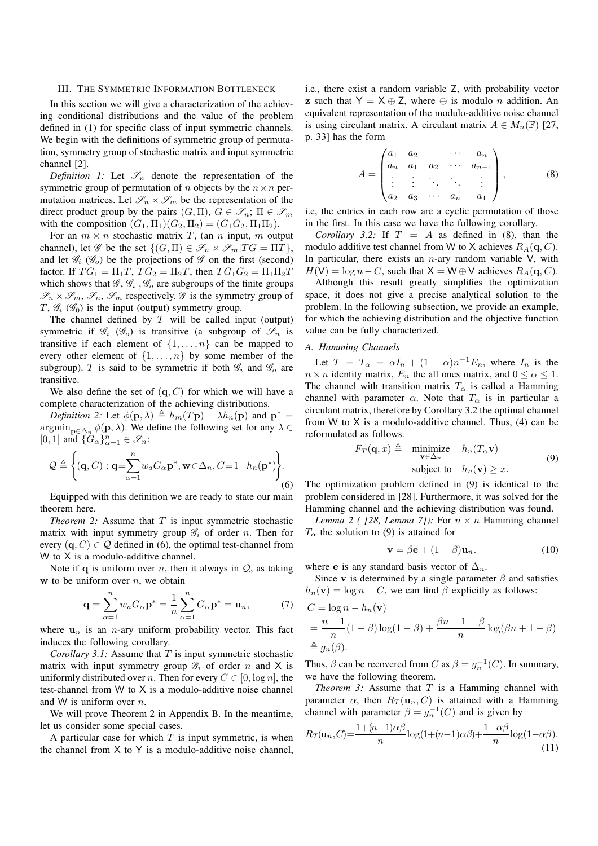## III. THE SYMMETRIC INFORMATION BOTTLENECK

In this section we will give a characterization of the achieving conditional distributions and the value of the problem defined in (1) for specific class of input symmetric channels. We begin with the definitions of symmetric group of permutation, symmetry group of stochastic matrix and input symmetric channel [2].

*Definition 1:* Let  $\mathcal{S}_n$  denote the representation of the symmetric group of permutation of n objects by the  $n \times n$  permutation matrices. Let  $\mathscr{S}_n \times \mathscr{S}_m$  be the representation of the direct product group by the pairs  $(G,\Pi), G \in \mathscr{S}_n$ ;  $\Pi \in \mathscr{S}_m$ with the composition  $(G_1, \Pi_1)(G_2, \Pi_2) = (G_1 G_2, \Pi_1 \Pi_2)$ .

For an  $m \times n$  stochastic matrix T, (an n input, m output channel), let  $\mathscr G$  be the set  $\{(G,\Pi) \in \mathscr S_n \times \mathscr S_m | T G = \Pi T \}$ , and let  $\mathscr{G}_i$  ( $\mathscr{G}_o$ ) be the projections of  $\mathscr{G}$  on the first (second) factor. If  $TG_1 = \Pi_1T$ ,  $TG_2 = \Pi_2T$ , then  $TG_1G_2 = \Pi_1\Pi_2T$ which shows that  $\mathcal{G}, \mathcal{G}_i$ ,  $\mathcal{G}_o$  are subgroups of the finite groups  $\mathscr{S}_n \times \mathscr{S}_m$ ,  $\mathscr{S}_n$ ,  $\mathscr{S}_m$  respectively.  $\mathscr{G}$  is the symmetry group of  $T, \mathcal{G}_i$  ( $\mathcal{G}_0$ ) is the input (output) symmetry group.

The channel defined by  $T$  will be called input (output) symmetric if  $\mathscr{G}_i$  ( $\mathscr{G}_o$ ) is transitive (a subgroup of  $\mathscr{S}_n$  is transitive if each element of  $\{1, \ldots, n\}$  can be mapped to every other element of  $\{1, \ldots, n\}$  by some member of the subgroup). T is said to be symmetric if both  $\mathscr{G}_i$  and  $\mathscr{G}_o$  are transitive.

We also define the set of  $(q, C)$  for which we will have a complete characterization of the achieving distributions.

*Definition 2:* Let  $\phi(\mathbf{p}, \lambda) \triangleq h_m(T\mathbf{p}) - \lambda h_n(\mathbf{p})$  and  $\mathbf{p}^* =$  $\operatorname{argmin}_{\mathbf{p}\in\Delta_n} \phi(\mathbf{p},\lambda)$ . We define the following set for any  $\lambda \in$ [0, 1] and  $\{G_{\alpha}\}_{\alpha=1}^{n} \in \mathscr{S}_n$ :

$$
\mathcal{Q} \triangleq \left\{ (\mathbf{q}, C) : \mathbf{q} = \sum_{\alpha=1}^{n} w_{\alpha} G_{\alpha} \mathbf{p}^*, \mathbf{w} \in \Delta_n, C = 1 - h_n(\mathbf{p}^*) \right\}.
$$
\n(6)

Equipped with this definition we are ready to state our main theorem here.

*Theorem 2:* Assume that  $T$  is input symmetric stochastic matrix with input symmetry group  $\mathscr{G}_i$  of order n. Then for every  $(q, C) \in \mathcal{Q}$  defined in (6), the optimal test-channel from W to X is a modulo-additive channel.

Note if q is uniform over n, then it always in  $Q$ , as taking w to be uniform over  $n$ , we obtain

$$
\mathbf{q} = \sum_{\alpha=1}^{n} w_{\alpha} G_{\alpha} \mathbf{p}^* = \frac{1}{n} \sum_{\alpha=1}^{n} G_{\alpha} \mathbf{p}^* = \mathbf{u}_n, \tag{7}
$$

where  $\mathbf{u}_n$  is an *n*-ary uniform probability vector. This fact induces the following corollary.

*Corollary 3.1:* Assume that T is input symmetric stochastic matrix with input symmetry group  $\mathscr{G}_i$  of order n and X is uniformly distributed over n. Then for every  $C \in [0, \log n]$ , the test-channel from W to X is a modulo-additive noise channel and W is uniform over  $n$ .

We will prove Theorem 2 in Appendix B. In the meantime, let us consider some special cases.

A particular case for which  $T$  is input symmetric, is when the channel from  $X$  to  $Y$  is a modulo-additive noise channel,

i.e., there exist a random variable Z, with probability vector z such that  $Y = X \oplus Z$ , where  $\oplus$  is modulo *n* addition. An equivalent representation of the modulo-additive noise channel is using circulant matrix. A circulant matrix  $A \in M_n(\mathbb{F})$  [27, p. 33] has the form

$$
A = \begin{pmatrix} a_1 & a_2 & \cdots & a_n \\ a_n & a_1 & a_2 & \cdots & a_{n-1} \\ \vdots & \vdots & \ddots & \vdots \\ a_2 & a_3 & \cdots & a_n & a_1 \end{pmatrix}, \quad (8)
$$

i.e, the entries in each row are a cyclic permutation of those in the first. In this case we have the following corollary.

*Corollary 3.2:* If  $T = A$  as defined in (8), than the modulo additive test channel from W to X achieves  $R_A(q, C)$ . In particular, there exists an  $n$ -ary random variable V, with  $H(V) = \log n - C$ , such that  $X = W \oplus V$  achieves  $R_A(q, C)$ .

Although this result greatly simplifies the optimization space, it does not give a precise analytical solution to the problem. In the following subsection, we provide an example, for which the achieving distribution and the objective function value can be fully characterized.

# *A. Hamming Channels*

Let  $T = T_{\alpha} = \alpha I_n + (1 - \alpha)n^{-1}E_n$ , where  $I_n$  is the  $n \times n$  identity matrix,  $E_n$  the all ones matrix, and  $0 \leq \alpha \leq 1$ . The channel with transition matrix  $T_{\alpha}$  is called a Hamming channel with parameter  $\alpha$ . Note that  $T_{\alpha}$  is in particular a circulant matrix, therefore by Corollary 3.2 the optimal channel from W to X is a modulo-additive channel. Thus,  $(4)$  can be reformulated as follows.

$$
F_T(\mathbf{q}, x) \triangleq \begin{array}{ll}\text{minimize} & h_n(T_\alpha \mathbf{v})\\ \mathbf{v} \in \Delta_n & \\ \text{subject to} & h_n(\mathbf{v}) \geq x. \end{array} \tag{9}
$$

The optimization problem defined in (9) is identical to the problem considered in [28]. Furthermore, it was solved for the Hamming channel and the achieving distribution was found.

*Lemma 2 ( [28, Lemma 7]):* For  $n \times n$  Hamming channel  $T_{\alpha}$  the solution to (9) is attained for

$$
\mathbf{v} = \beta \mathbf{e} + (1 - \beta) \mathbf{u}_n. \tag{10}
$$

where e is any standard basis vector of  $\Delta_n$ .

Since v is determined by a single parameter  $\beta$  and satisfies  $h_n(\mathbf{v}) = \log n - C$ , we can find  $\beta$  explicitly as follows:

$$
C = \log n - h_n(\mathbf{v})
$$
  
=  $\frac{n-1}{n}(1-\beta)\log(1-\beta) + \frac{\beta n + 1-\beta}{n}\log(\beta n + 1-\beta)$   
 $\triangleq g_n(\beta).$ 

Thus,  $\beta$  can be recovered from C as  $\beta = g_n^{-1}(C)$ . In summary, we have the following theorem.

*Theorem 3:* Assume that  $T$  is a Hamming channel with parameter  $\alpha$ , then  $R_T(\mathbf{u}_n, C)$  is attained with a Hamming channel with parameter  $\beta = g_n^{-1}(C)$  and is given by

$$
R_T(\mathbf{u}_n, C) = \frac{1 + (n-1)\alpha\beta}{n} \log(1 + (n-1)\alpha\beta) + \frac{1 - \alpha\beta}{n} \log(1 - \alpha\beta). \tag{11}
$$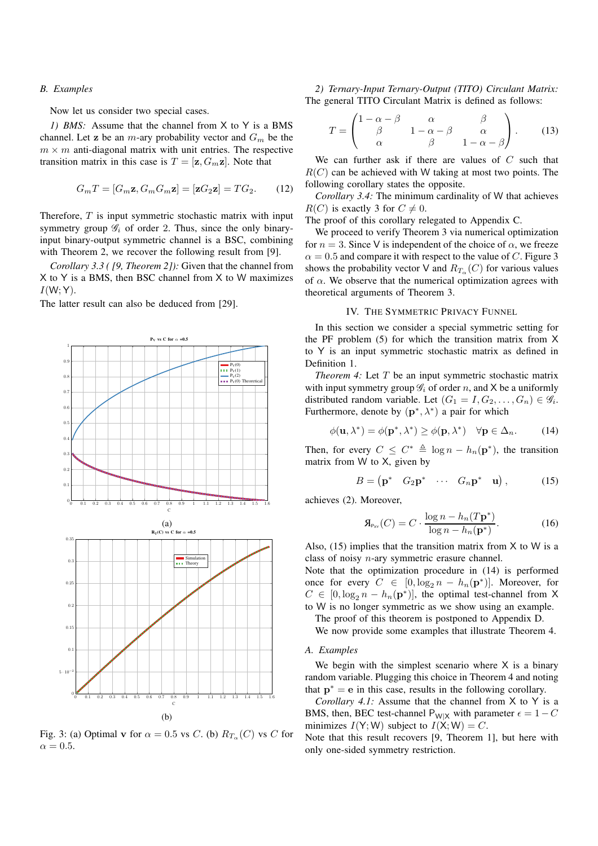## *B. Examples*

Now let us consider two special cases.

*1) BMS:* Assume that the channel from X to Y is a BMS channel. Let z be an *m*-ary probability vector and  $G_m$  be the  $m \times m$  anti-diagonal matrix with unit entries. The respective transition matrix in this case is  $T = [\mathbf{z}, G_m \mathbf{z}]$ . Note that

$$
G_m T = [G_m \mathbf{z}, G_m G_m \mathbf{z}] = [\mathbf{z} G_2 \mathbf{z}] = T G_2. \tag{12}
$$

Therefore,  $T$  is input symmetric stochastic matrix with input symmetry group  $\mathcal{G}_i$  of order 2. Thus, since the only binaryinput binary-output symmetric channel is a BSC, combining with Theorem 2, we recover the following result from [9].

*Corollary 3.3 ( [9, Theorem 2]):* Given that the channel from X to Y is a BMS, then BSC channel from X to W maximizes  $I(W; Y)$ .

The latter result can also be deduced from [29].



Fig. 3: (a) Optimal v for  $\alpha = 0.5$  vs C. (b)  $R_{T_{\alpha}}(C)$  vs C for  $\alpha = 0.5$ .

*2) Ternary-Input Ternary-Output (TITO) Circulant Matrix:* The general TITO Circulant Matrix is defined as follows:

$$
T = \begin{pmatrix} 1 - \alpha - \beta & \alpha & \beta \\ \beta & 1 - \alpha - \beta & \alpha \\ \alpha & \beta & 1 - \alpha - \beta \end{pmatrix}.
$$
 (13)

We can further ask if there are values of  $C$  such that  $R(C)$  can be achieved with W taking at most two points. The following corollary states the opposite.

*Corollary 3.4:* The minimum cardinality of W that achieves  $R(C)$  is exactly 3 for  $C \neq 0$ .

The proof of this corollary relegated to Appendix C.

We proceed to verify Theorem 3 via numerical optimization for  $n = 3$ . Since V is independent of the choice of  $\alpha$ , we freeze  $\alpha = 0.5$  and compare it with respect to the value of C. Figure 3 shows the probability vector V and  $R_{T_{\alpha}}(C)$  for various values of  $\alpha$ . We observe that the numerical optimization agrees with theoretical arguments of Theorem 3.

## IV. THE SYMMETRIC PRIVACY FUNNEL

In this section we consider a special symmetric setting for the PF problem (5) for which the transition matrix from X to Y is an input symmetric stochastic matrix as defined in Definition 1.

*Theorem 4:* Let T be an input symmetric stochastic matrix with input symmetry group  $\mathcal{G}_i$  of order n, and X be a uniformly distributed random variable. Let  $(G_1 = I, G_2, \ldots, G_n) \in \mathscr{G}_i$ . Furthermore, denote by  $(\mathbf{p}^*, \lambda^*)$  a pair for which

$$
\phi(\mathbf{u}, \lambda^*) = \phi(\mathbf{p}^*, \lambda^*) \ge \phi(\mathbf{p}, \lambda^*) \quad \forall \mathbf{p} \in \Delta_n. \tag{14}
$$

Then, for every  $C \leq C^* \triangleq \log n - h_n(\mathbf{p}^*)$ , the transition matrix from W to X, given by

$$
B = \begin{pmatrix} \mathbf{p}^* & G_2 \mathbf{p}^* & \cdots & G_n \mathbf{p}^* & \mathbf{u} \end{pmatrix}, \quad (15)
$$

achieves (2). Moreover,

$$
\mathbf{A}_{P_{\text{XY}}}(C) = C \cdot \frac{\log n - h_n(T\mathbf{p}^*)}{\log n - h_n(\mathbf{p}^*)}.
$$
 (16)

Also,  $(15)$  implies that the transition matrix from X to W is a class of noisy n-ary symmetric erasure channel.

Note that the optimization procedure in (14) is performed once for every  $C \in [0, \log_2 n - h_n(\mathbf{p}^*)]$ . Moreover, for  $C \in [0, \log_2 n - h_n(\mathbf{p}^*)]$ , the optimal test-channel from X to W is no longer symmetric as we show using an example.

The proof of this theorem is postponed to Appendix D.

We now provide some examples that illustrate Theorem 4.

# *A. Examples*

We begin with the simplest scenario where  $X$  is a binary random variable. Plugging this choice in Theorem 4 and noting that  $\mathbf{p}^* = \mathbf{e}$  in this case, results in the following corollary.

*Corollary 4.1:* Assume that the channel from X to Y is a BMS, then, BEC test-channel P<sub>W|X</sub> with parameter  $\epsilon = 1 - C$ minimizes  $I(Y;W)$  subject to  $I(X;W) = C$ .

Note that this result recovers [9, Theorem 1], but here with only one-sided symmetry restriction.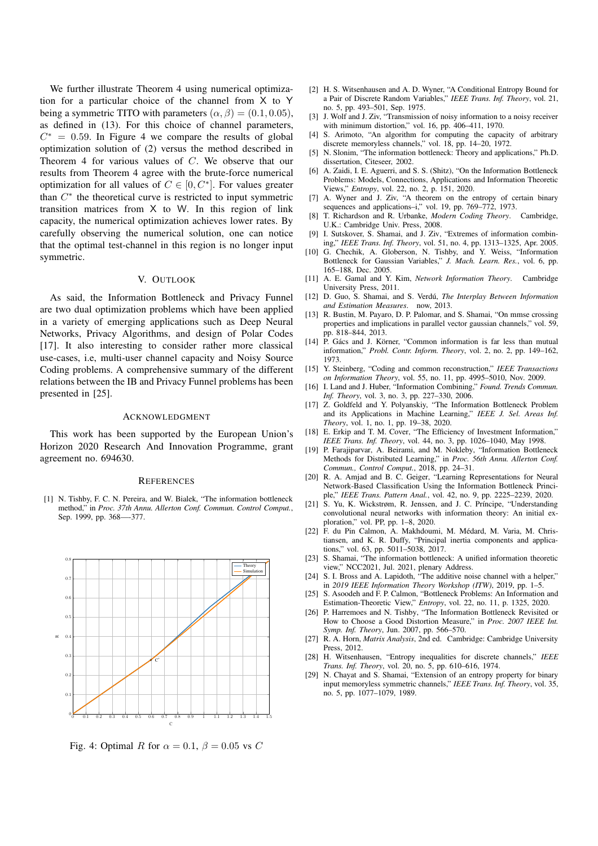We further illustrate Theorem 4 using numerical optimization for a particular choice of the channel from X to Y being a symmetric TITO with parameters  $(\alpha, \beta) = (0.1, 0.05)$ , as defined in (13). For this choice of channel parameters,  $C^* = 0.59$ . In Figure 4 we compare the results of global optimization solution of (2) versus the method described in Theorem 4 for various values of C. We observe that our results from Theorem 4 agree with the brute-force numerical optimization for all values of  $C \in [0, C^*]$ . For values greater than  $C^*$  the theoretical curve is restricted to input symmetric transition matrices from X to W. In this region of link capacity, the numerical optimization achieves lower rates. By carefully observing the numerical solution, one can notice that the optimal test-channel in this region is no longer input symmetric.

# V. OUTLOOK

As said, the Information Bottleneck and Privacy Funnel are two dual optimization problems which have been applied in a variety of emerging applications such as Deep Neural Networks, Privacy Algorithms, and design of Polar Codes [17]. It also interesting to consider rather more classical use-cases, i.e, multi-user channel capacity and Noisy Source Coding problems. A comprehensive summary of the different relations between the IB and Privacy Funnel problems has been presented in [25].

#### ACKNOWLEDGMENT

This work has been supported by the European Union's Horizon 2020 Research And Innovation Programme, grant agreement no. 694630.

## **REFERENCES**

[1] N. Tishby, F. C. N. Pereira, and W. Bialek, "The information bottleneck method," in *Proc. 37th Annu. Allerton Conf. Commun. Control Comput.*, Sep. 1999, pp. 368—-377.



Fig. 4: Optimal R for  $\alpha = 0.1$ ,  $\beta = 0.05$  vs C

- [2] H. S. Witsenhausen and A. D. Wyner, "A Conditional Entropy Bound for a Pair of Discrete Random Variables," *IEEE Trans. Inf. Theory*, vol. 21, no. 5, pp. 493–501, Sep. 1975.
- [3] J. Wolf and J. Ziv. "Transmission of noisy information to a noisy receiver with minimum distortion," vol. 16, pp. 406–411, 1970.
- [4] S. Arimoto, "An algorithm for computing the capacity of arbitrary discrete memoryless channels," vol. 18, pp. 14–20, 1972.
- [5] N. Slonim, "The information bottleneck: Theory and applications," Ph.D. dissertation, Citeseer, 2002.
- [6] A. Zaidi, I. E. Aguerri, and S. S. (Shitz), "On the Information Bottleneck Problems: Models, Connections, Applications and Information Theoretic Views," *Entropy*, vol. 22, no. 2, p. 151, 2020.
- [7] A. Wyner and J. Ziv, "A theorem on the entropy of certain binary sequences and applications–i," vol. 19, pp. 769–772, 1973.
- [8] T. Richardson and R. Urbanke, *Modern Coding Theory*. Cambridge, U.K.: Cambridge Univ. Press, 2008.
- [9] I. Sutskover, S. Shamai, and J. Ziv, "Extremes of information combining," *IEEE Trans. Inf. Theory*, vol. 51, no. 4, pp. 1313–1325, Apr. 2005.
- [10] G. Chechik, A. Globerson, N. Tishby, and Y. Weiss, "Information Bottleneck for Gaussian Variables," *J. Mach. Learn. Res.*, vol. 6, pp. 165–188, Dec. 2005.
- [11] A. E. Gamal and Y. Kim, *Network Information Theory*. Cambridge University Press, 2011.
- [12] D. Guo, S. Shamai, and S. Verdú, *The Interplay Between Information and Estimation Measures*. now, 2013.
- [13] R. Bustin, M. Payaro, D. P. Palomar, and S. Shamai, "On mmse crossing properties and implications in parallel vector gaussian channels," vol. 59, pp. 818–844, 2013.
- [14] P. Gács and J. Körner, "Common information is far less than mutual information," *Probl. Contr. Inform. Theory*, vol. 2, no. 2, pp. 149–162, 1973.
- [15] Y. Steinberg, "Coding and common reconstruction," *IEEE Transactions on Information Theory*, vol. 55, no. 11, pp. 4995–5010, Nov. 2009.
- [16] I. Land and J. Huber, "Information Combining," *Found. Trends Commun. Inf. Theory*, vol. 3, no. 3, pp. 227–330, 2006.
- [17] Z. Goldfeld and Y. Polyanskiy, "The Information Bottleneck Problem and its Applications in Machine Learning," *IEEE J. Sel. Areas Inf. Theory*, vol. 1, no. 1, pp. 19–38, 2020.
- [18] E. Erkip and T. M. Cover, "The Efficiency of Investment Information," *IEEE Trans. Inf. Theory*, vol. 44, no. 3, pp. 1026–1040, May 1998.
- [19] P. Farajiparvar, A. Beirami, and M. Nokleby, "Information Bottleneck Methods for Distributed Learning," in *Proc. 56th Annu. Allerton Conf. Commun., Control Comput.*, 2018, pp. 24–31.
- [20] R. A. Amjad and B. C. Geiger, "Learning Representations for Neural Network-Based Classification Using the Information Bottleneck Principle," *IEEE Trans. Pattern Anal.*, vol. 42, no. 9, pp. 2225–2239, 2020.
- [21] S. Yu, K. Wickstrøm, R. Jenssen, and J. C. Príncipe, "Understanding convolutional neural networks with information theory: An initial exploration," vol. PP, pp. 1–8, 2020.
- [22] F. du Pin Calmon, A. Makhdoumi, M. Médard, M. Varia, M. Christiansen, and K. R. Duffy, "Principal inertia components and applications," vol. 63, pp. 5011–5038, 2017.
- [23] S. Shamai, "The information bottleneck: A unified information theoretic view," NCC2021, Jul. 2021, plenary Address.
- [24] S. I. Bross and A. Lapidoth, "The additive noise channel with a helper," in *2019 IEEE Information Theory Workshop (ITW)*, 2019, pp. 1–5.
- [25] S. Asoodeh and F. P. Calmon, "Bottleneck Problems: An Information and Estimation-Theoretic View," *Entropy*, vol. 22, no. 11, p. 1325, 2020.
- [26] P. Harremoes and N. Tishby, "The Information Bottleneck Revisited or How to Choose a Good Distortion Measure," in *Proc. 2007 IEEE Int. Symp. Inf. Theory*, Jun. 2007, pp. 566–570.
- [27] R. A. Horn, *Matrix Analysis*, 2nd ed. Cambridge: Cambridge University Press, 2012.
- [28] H. Witsenhausen, "Entropy inequalities for discrete channels," *IEEE Trans. Inf. Theory*, vol. 20, no. 5, pp. 610–616, 1974.
- [29] N. Chayat and S. Shamai, "Extension of an entropy property for binary input memoryless symmetric channels," *IEEE Trans. Inf. Theory*, vol. 35, no. 5, pp. 1077–1079, 1989.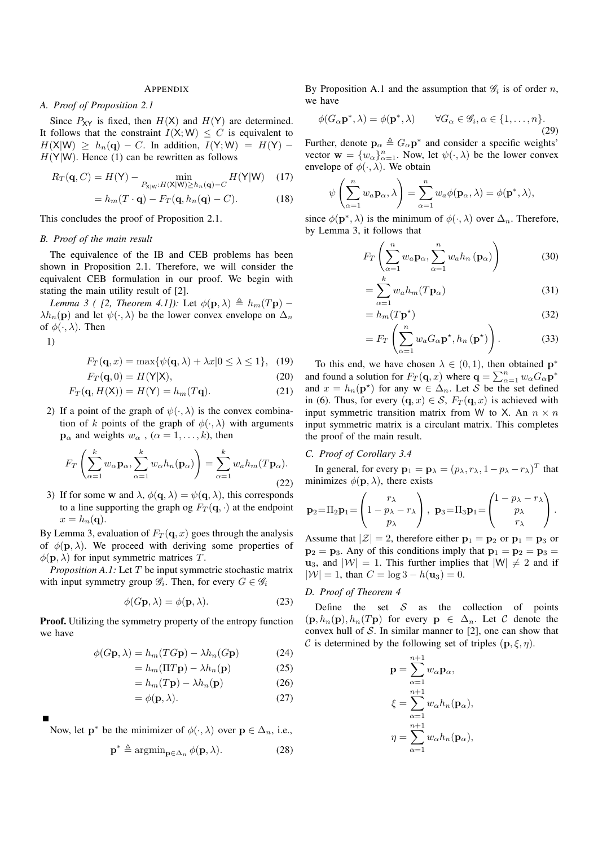## APPENDIX

# *A. Proof of Proposition 2.1*

Since  $P_{XY}$  is fixed, then  $H(X)$  and  $H(Y)$  are determined. It follows that the constraint  $I(X;W) \leq C$  is equivalent to  $H(X|W) \geq h_n(\mathbf{q}) - C$ . In addition,  $I(Y;W) = H(Y) H(Y|W)$ . Hence (1) can be rewritten as follows

$$
R_T(\mathbf{q}, C) = H(\mathbf{Y}) - \min_{P_{\mathbf{X}|\mathbf{W}}: H(\mathbf{X}|\mathbf{W}) \ge h_n(\mathbf{q}) - C} H(\mathbf{Y}|\mathbf{W}) \quad (17)
$$

$$
= h_m(T \cdot \mathbf{q}) - F_T(\mathbf{q}, h_n(\mathbf{q}) - C). \tag{18}
$$

This concludes the proof of Proposition 2.1.

## *B. Proof of the main result*

The equivalence of the IB and CEB problems has been shown in Proposition 2.1. Therefore, we will consider the equivalent CEB formulation in our proof. We begin with stating the main utility result of [2].

*Lemma 3 ( [2, Theorem 4.1]):* Let  $\phi(\mathbf{p}, \lambda) \triangleq h_m(T\mathbf{p})$  –  $\lambda h_n(\mathbf{p})$  and let  $\psi(\cdot,\lambda)$  be the lower convex envelope on  $\Delta_n$ of  $\phi(\cdot, \lambda)$ . Then

1)

$$
F_T(\mathbf{q}, x) = \max\{\psi(\mathbf{q}, \lambda) + \lambda x | 0 \le \lambda \le 1\}, \quad (19)
$$

$$
F_T(\mathbf{q},0) = H(\mathsf{Y}|\mathsf{X}),\tag{20}
$$

$$
F_T(\mathbf{q}, H(\mathsf{X})) = H(\mathsf{Y}) = h_m(T\mathbf{q}).\tag{21}
$$

2) If a point of the graph of  $\psi(\cdot, \lambda)$  is the convex combination of k points of the graph of  $\phi(\cdot, \lambda)$  with arguments  $\mathbf{p}_{\alpha}$  and weights  $w_{\alpha}$ ,  $(\alpha = 1, \ldots, k)$ , then

$$
F_T\left(\sum_{\alpha=1}^k w_{\alpha} \mathbf{p}_{\alpha}, \sum_{\alpha=1}^k w_{\alpha} h_n(\mathbf{p}_{\alpha})\right) = \sum_{\alpha=1}^k w_{\alpha} h_m(T\mathbf{p}_{\alpha}).
$$
\n(22)

3) If for some w and  $\lambda$ ,  $\phi(\mathbf{q}, \lambda) = \psi(\mathbf{q}, \lambda)$ , this corresponds to a line supporting the graph og  $F_T(\mathbf{q}, \cdot)$  at the endpoint  $x = h_n(\mathbf{q}).$ 

By Lemma 3, evaluation of  $F_T(\mathbf{q}, x)$  goes through the analysis of  $\phi(\mathbf{p}, \lambda)$ . We proceed with deriving some properties of  $\phi(\mathbf{p}, \lambda)$  for input symmetric matrices T.

*Proposition A.1:* Let T be input symmetric stochastic matrix with input symmetry group  $\mathscr{G}_i$ . Then, for every  $G \in \mathscr{G}_i$ 

$$
\phi(G\mathbf{p}, \lambda) = \phi(\mathbf{p}, \lambda). \tag{23}
$$

**Proof.** Utilizing the symmetry property of the entropy function we have

$$
\phi(G\mathbf{p}, \lambda) = h_m(TG\mathbf{p}) - \lambda h_n(G\mathbf{p})
$$
\n(24)

$$
=h_m(\Pi T \mathbf{p}) - \lambda h_n(\mathbf{p})\tag{25}
$$

$$
=h_m(T\mathbf{p})-\lambda h_n(\mathbf{p})\tag{26}
$$

$$
= \phi(\mathbf{p}, \lambda). \tag{27}
$$

Now, let  $\mathbf{p}^*$  be the minimizer of  $\phi(\cdot, \lambda)$  over  $\mathbf{p} \in \Delta_n$ , i.e.,

$$
\mathbf{p}^* \triangleq \operatorname{argmin}_{\mathbf{p} \in \Delta_n} \phi(\mathbf{p}, \lambda). \tag{28}
$$

By Proposition A.1 and the assumption that  $\mathscr{G}_i$  is of order n, we have

$$
\phi(G_{\alpha} \mathbf{p}^*, \lambda) = \phi(\mathbf{p}^*, \lambda) \qquad \forall G_{\alpha} \in \mathscr{G}_i, \alpha \in \{1, \dots, n\}.
$$
\n(29)

Further, denote  $\mathbf{p}_{\alpha} \triangleq G_{\alpha} \mathbf{p}^*$  and consider a specific weights' vector  $\mathbf{w} = \{w_{\alpha}\}_{\alpha=1}^n$ . Now, let  $\psi(\cdot, \lambda)$  be the lower convex envelope of  $\phi(\cdot, \lambda)$ . We obtain

$$
\psi\left(\sum_{\alpha=1}^n w_a \mathbf{p}_\alpha, \lambda\right) = \sum_{\alpha=1}^n w_a \phi(\mathbf{p}_\alpha, \lambda) = \phi(\mathbf{p}^*, \lambda),
$$

since  $\phi(\mathbf{p}^*, \lambda)$  is the minimum of  $\phi(\cdot, \lambda)$  over  $\Delta_n$ . Therefore, by Lemma 3, it follows that

$$
F_T\left(\sum_{\alpha=1}^n w_\alpha \mathbf{p}_\alpha, \sum_{\alpha=1}^n w_\alpha h_n \left(\mathbf{p}_\alpha\right)\right) \tag{30}
$$

$$
=\sum_{\alpha=1}^{k} w_a h_m(T\mathbf{p}_{\alpha})
$$
\n(31)

$$
= h_m(T\mathbf{p}^*)
$$
\n(32)

$$
=F_T\left(\sum_{\alpha=1}^n w_a G_{\alpha} \mathbf{p}^{\star}, h_n(\mathbf{p}^{\star})\right). \tag{33}
$$

To this end, we have chosen  $\lambda \in (0,1)$ , then obtained  $p^*$ and found a solution for  $F_T(\mathbf{q}, x)$  where  $\mathbf{q} = \sum_{\alpha=1}^n w_\alpha G_\alpha \mathbf{p}^*$ and  $x = h_n(\mathbf{p}^*)$  for any  $\mathbf{w} \in \Delta_n$ . Let S be the set defined in (6). Thus, for every  $(\mathbf{q}, x) \in S$ ,  $F_T(\mathbf{q}, x)$  is achieved with input symmetric transition matrix from W to X. An  $n \times n$ input symmetric matrix is a circulant matrix. This completes the proof of the main result.

## *C. Proof of Corollary 3.4*

In general, for every  $\mathbf{p}_1 = \mathbf{p}_\lambda = (p_\lambda, r_\lambda, 1 - p_\lambda - r_\lambda)^T$  that minimizes  $\phi(\mathbf{p}, \lambda)$ , there exists

$$
\mathbf{p}_2 = \Pi_2 \mathbf{p}_1 = \begin{pmatrix} r_{\lambda} \\ 1 - p_{\lambda} - r_{\lambda} \\ p_{\lambda} \end{pmatrix}, \ \mathbf{p}_3 = \Pi_3 \mathbf{p}_1 = \begin{pmatrix} 1 - p_{\lambda} - r_{\lambda} \\ p_{\lambda} \\ r_{\lambda} \end{pmatrix}.
$$

Assume that  $|\mathcal{Z}| = 2$ , therefore either  $\mathbf{p}_1 = \mathbf{p}_2$  or  $\mathbf{p}_1 = \mathbf{p}_3$  or  $p_2 = p_3$ . Any of this conditions imply that  $p_1 = p_2 = p_3$  $u_3$ , and  $|W| = 1$ . This further implies that  $|W| \neq 2$  and if  $|\mathcal{W}| = 1$ , than  $C = \log 3 - h(\mathbf{u}_3) = 0$ .

# *D. Proof of Theorem 4*

Define the set  $S$  as the collection of points  $(\mathbf{p}, h_n(\mathbf{p}), h_n(T\mathbf{p})$  for every  $\mathbf{p} \in \Delta_n$ . Let C denote the convex hull of  $S$ . In similar manner to [2], one can show that C is determined by the following set of triples  $(p, \xi, \eta)$ .

 $\pm$ 

$$
\mathbf{p} = \sum_{\alpha=1}^{n+1} w_{\alpha} \mathbf{p}_{\alpha},
$$
  

$$
\xi = \sum_{\alpha=1}^{n+1} w_{\alpha} h_n(\mathbf{p}_{\alpha}),
$$
  

$$
\eta = \sum_{\alpha=1}^{n+1} w_{\alpha} h_n(\mathbf{p}_{\alpha}),
$$